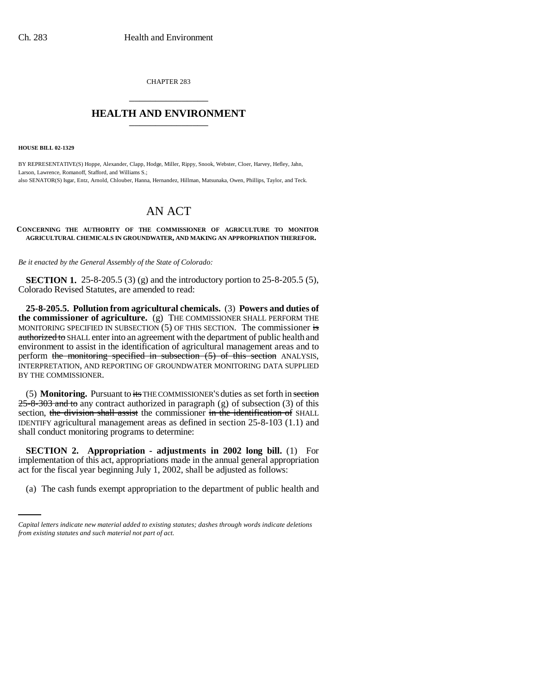CHAPTER 283 \_\_\_\_\_\_\_\_\_\_\_\_\_\_\_

## **HEALTH AND ENVIRONMENT** \_\_\_\_\_\_\_\_\_\_\_\_\_\_\_

**HOUSE BILL 02-1329**

BY REPRESENTATIVE(S) Hoppe, Alexander, Clapp, Hodge, Miller, Rippy, Snook, Webster, Cloer, Harvey, Hefley, Jahn, Larson, Lawrence, Romanoff, Stafford, and Williams S.; also SENATOR(S) Isgar, Entz, Arnold, Chlouber, Hanna, Hernandez, Hillman, Matsunaka, Owen, Phillips, Taylor, and Teck.

## AN ACT

**CONCERNING THE AUTHORITY OF THE COMMISSIONER OF AGRICULTURE TO MONITOR AGRICULTURAL CHEMICALS IN GROUNDWATER, AND MAKING AN APPROPRIATION THEREFOR.**

*Be it enacted by the General Assembly of the State of Colorado:*

**SECTION 1.** 25-8-205.5 (3) (g) and the introductory portion to 25-8-205.5 (5), Colorado Revised Statutes, are amended to read:

**25-8-205.5. Pollution from agricultural chemicals.** (3) **Powers and duties of the commissioner of agriculture.** (g) THE COMMISSIONER SHALL PERFORM THE MONITORING SPECIFIED IN SUBSECTION  $(5)$  OF THIS SECTION. The commissioner is authorized to SHALL enter into an agreement with the department of public health and environment to assist in the identification of agricultural management areas and to perform the monitoring specified in subsection (5) of this section ANALYSIS, INTERPRETATION, AND REPORTING OF GROUNDWATER MONITORING DATA SUPPLIED BY THE COMMISSIONER.

(5) **Monitoring.** Pursuant to its THE COMMISSIONER'S duties as set forth in section 25-8-303 and to any contract authorized in paragraph (g) of subsection (3) of this section, the division shall assist the commissioner in the identification of SHALL IDENTIFY agricultural management areas as defined in section 25-8-103 (1.1) and shall conduct monitoring programs to determine:

act for the fiscal year beginning July 1, 2002, shall be adjusted as follows: **SECTION 2. Appropriation - adjustments in 2002 long bill.** (1) For implementation of this act, appropriations made in the annual general appropriation

(a) The cash funds exempt appropriation to the department of public health and

*Capital letters indicate new material added to existing statutes; dashes through words indicate deletions from existing statutes and such material not part of act.*